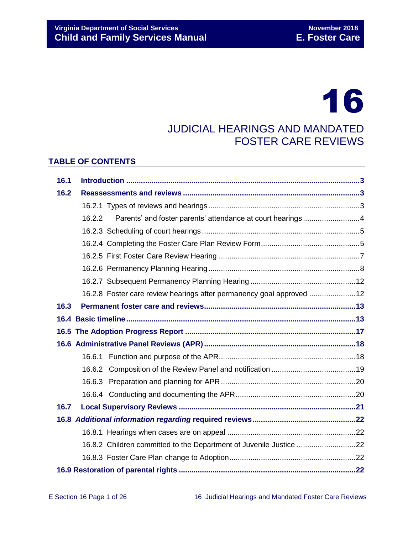# 16

## JUDICIAL HEARINGS AND MANDATED FOSTER CARE REVIEWS

## **TABLE OF CONTENTS**

| 16.1 |        |                                                                      |  |  |
|------|--------|----------------------------------------------------------------------|--|--|
| 16.2 |        |                                                                      |  |  |
|      |        |                                                                      |  |  |
|      | 16.2.2 | Parents' and foster parents' attendance at court hearings4           |  |  |
|      |        |                                                                      |  |  |
|      |        |                                                                      |  |  |
|      |        |                                                                      |  |  |
|      |        |                                                                      |  |  |
|      |        |                                                                      |  |  |
|      |        | 16.2.8 Foster care review hearings after permanency goal approved 12 |  |  |
| 16.3 |        |                                                                      |  |  |
|      |        |                                                                      |  |  |
|      |        |                                                                      |  |  |
|      |        |                                                                      |  |  |
|      |        |                                                                      |  |  |
|      |        |                                                                      |  |  |
|      |        |                                                                      |  |  |
|      |        |                                                                      |  |  |
| 16.7 |        |                                                                      |  |  |
|      |        |                                                                      |  |  |
|      |        |                                                                      |  |  |
|      |        | 16.8.2 Children committed to the Department of Juvenile Justice 22   |  |  |
|      |        |                                                                      |  |  |
|      |        |                                                                      |  |  |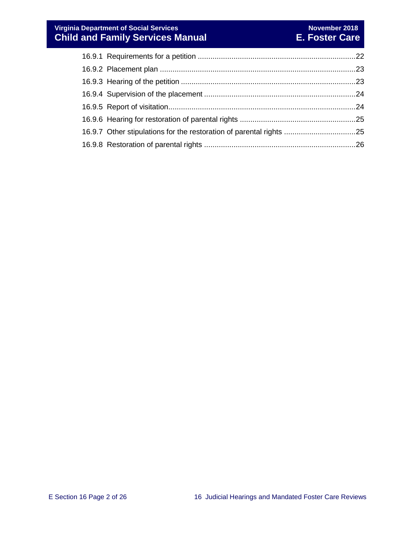| 16.9.7 Other stipulations for the restoration of parental rights 25 |  |
|---------------------------------------------------------------------|--|
|                                                                     |  |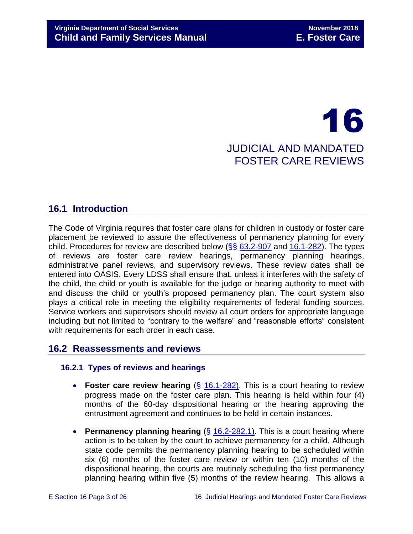## 16 JUDICIAL AND MANDATED FOSTER CARE REVIEWS

## <span id="page-2-0"></span>**16.1 Introduction**

The Code of Virginia requires that foster care plans for children in custody or foster care placement be reviewed to assure the effectiveness of permanency planning for every child. Procedures for review are described below  $(\frac{66}{66} 63.2 - 907)$  and  $16.1 - 282)$ . The types of reviews are foster care review hearings, permanency planning hearings, administrative panel reviews, and supervisory reviews. These review dates shall be entered into OASIS. Every LDSS shall ensure that, unless it interferes with the safety of the child, the child or youth is available for the judge or hearing authority to meet with and discuss the child or youth's proposed permanency plan. The court system also plays a critical role in meeting the eligibility requirements of federal funding sources. Service workers and supervisors should review all court orders for appropriate language including but not limited to "contrary to the welfare" and "reasonable efforts" consistent with requirements for each order in each case.

## <span id="page-2-1"></span>**16.2 Reassessments and reviews**

## <span id="page-2-2"></span>**16.2.1 Types of reviews and hearings**

- **Foster care review hearing** (§ [16.1-282\)](http://law.lis.virginia.gov/vacode/16.1-282/). This is a court hearing to review progress made on the foster care plan. This hearing is held within four (4) months of the 60-day dispositional hearing or the hearing approving the entrustment agreement and continues to be held in certain instances.
- **Permanency planning hearing** (§ [16.2-282.1\)](http://law.lis.virginia.gov/vacode/title16.1/chapter11/section16.1-282.1/). This is a court hearing where action is to be taken by the court to achieve permanency for a child. Although state code permits the permanency planning hearing to be scheduled within six (6) months of the foster care review or within ten (10) months of the dispositional hearing, the courts are routinely scheduling the first permanency planning hearing within five (5) months of the review hearing. This allows a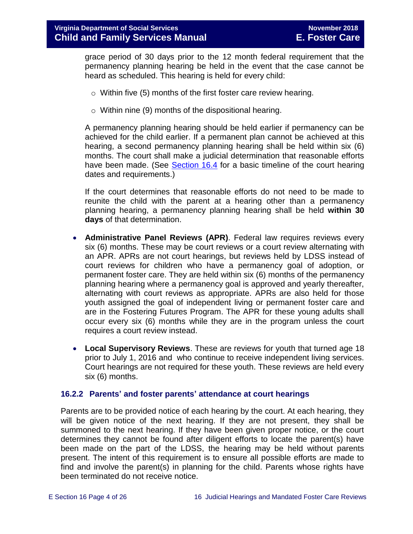grace period of 30 days prior to the 12 month federal requirement that the permanency planning hearing be held in the event that the case cannot be heard as scheduled. This hearing is held for every child:

- o Within five (5) months of the first foster care review hearing.
- $\circ$  Within nine (9) months of the dispositional hearing.

A permanency planning hearing should be held earlier if permanency can be achieved for the child earlier. If a permanent plan cannot be achieved at this hearing, a second permanency planning hearing shall be held within six (6) months. The court shall make a judicial determination that reasonable efforts have been made. (See [Section](#page-12-1) 16.4 for a basic timeline of the court hearing dates and requirements.)

If the court determines that reasonable efforts do not need to be made to reunite the child with the parent at a hearing other than a permanency planning hearing, a permanency planning hearing shall be held **within 30 days** of that determination.

- **Administrative Panel Reviews (APR)**. Federal law requires reviews every six (6) months. These may be court reviews or a court review alternating with an APR. APRs are not court hearings, but reviews held by LDSS instead of court reviews for children who have a permanency goal of adoption, or permanent foster care. They are held within six (6) months of the permanency planning hearing where a permanency goal is approved and yearly thereafter, alternating with court reviews as appropriate. APRs are also held for those youth assigned the goal of independent living or permanent foster care and are in the Fostering Futures Program. The APR for these young adults shall occur every six (6) months while they are in the program unless the court requires a court review instead.
- **Local Supervisory Reviews**. These are reviews for youth that turned age 18 prior to July 1, 2016 and who continue to receive independent living services. Court hearings are not required for these youth. These reviews are held every six (6) months.

## <span id="page-3-0"></span>**16.2.2 Parents' and foster parents' attendance at court hearings**

Parents are to be provided notice of each hearing by the court. At each hearing, they will be given notice of the next hearing. If they are not present, they shall be summoned to the next hearing. If they have been given proper notice, or the court determines they cannot be found after diligent efforts to locate the parent(s) have been made on the part of the LDSS, the hearing may be held without parents present. The intent of this requirement is to ensure all possible efforts are made to find and involve the parent(s) in planning for the child. Parents whose rights have been terminated do not receive notice.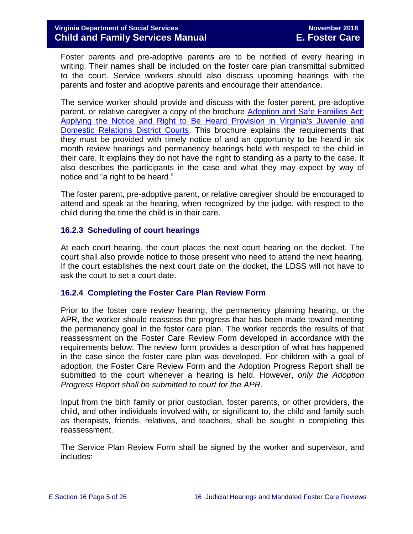Foster parents and pre-adoptive parents are to be notified of every hearing in writing. Their names shall be included on the foster care plan transmittal submitted to the court. Service workers should also discuss upcoming hearings with the parents and foster and adoptive parents and encourage their attendance.

The service worker should provide and discuss with the foster parent, pre-adoptive parent, or relative caregiver a copy of the brochure Adoption and Safe Families Act: [Applying the Notice and Right to Be Heard Provision in Virginia's Juvenile and](http://www.courts.state.va.us/courtadmin/aoc/cip/home.html)  [Domestic Relations District Courts.](http://www.courts.state.va.us/courtadmin/aoc/cip/home.html) This brochure explains the requirements that they must be provided with timely notice of and an opportunity to be heard in six month review hearings and permanency hearings held with respect to the child in their care. It explains they do not have the right to standing as a party to the case. It also describes the participants in the case and what they may expect by way of notice and "a right to be heard."

The foster parent, pre-adoptive parent, or relative caregiver should be encouraged to attend and speak at the hearing, when recognized by the judge, with respect to the child during the time the child is in their care.

## <span id="page-4-0"></span>**16.2.3 Scheduling of court hearings**

At each court hearing, the court places the next court hearing on the docket. The court shall also provide notice to those present who need to attend the next hearing. If the court establishes the next court date on the docket, the LDSS will not have to ask the court to set a court date.

## <span id="page-4-1"></span>**16.2.4 Completing the Foster Care Plan Review Form**

Prior to the foster care review hearing, the permanency planning hearing, or the APR, the worker should reassess the progress that has been made toward meeting the permanency goal in the foster care plan. The worker records the results of that reassessment on the Foster Care Review Form developed in accordance with the requirements below. The review form provides a description of what has happened in the case since the foster care plan was developed. For children with a goal of adoption, the Foster Care Review Form and the Adoption Progress Report shall be submitted to the court whenever a hearing is held. However, *only the Adoption Progress Report shall be submitted to court for the APR*.

Input from the birth family or prior custodian, foster parents, or other providers, the child, and other individuals involved with, or significant to, the child and family such as therapists, friends, relatives, and teachers, shall be sought in completing this reassessment.

The Service Plan Review Form shall be signed by the worker and supervisor, and includes: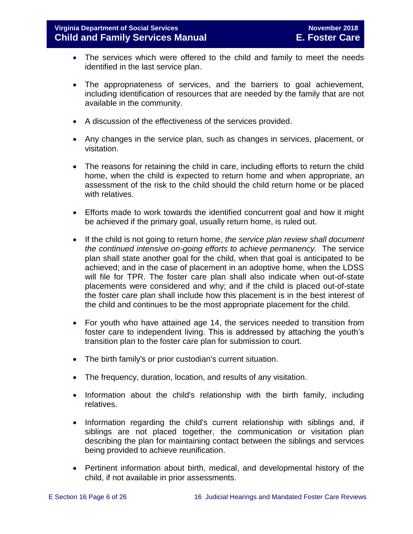- The services which were offered to the child and family to meet the needs identified in the last service plan.
- The appropriateness of services, and the barriers to goal achievement, including identification of resources that are needed by the family that are not available in the community.
- A discussion of the effectiveness of the services provided.
- Any changes in the service plan, such as changes in services, placement, or visitation.
- The reasons for retaining the child in care, including efforts to return the child home, when the child is expected to return home and when appropriate, an assessment of the risk to the child should the child return home or be placed with relatives.
- Efforts made to work towards the identified concurrent goal and how it might be achieved if the primary goal, usually return home, is ruled out.
- If the child is not going to return home, *the service plan review shall document the continued intensive on-going efforts to achieve permanency.* The service plan shall state another goal for the child, when that goal is anticipated to be achieved; and in the case of placement in an adoptive home, when the LDSS will file for TPR. The foster care plan shall also indicate when out-of-state placements were considered and why; and if the child is placed out-of-state the foster care plan shall include how this placement is in the best interest of the child and continues to be the most appropriate placement for the child.
- For youth who have attained age 14, the services needed to transition from foster care to independent living. This is addressed by attaching the youth's transition plan to the foster care plan for submission to court.
- The birth family's or prior custodian's current situation.
- The frequency, duration, location, and results of any visitation.
- Information about the child's relationship with the birth family, including relatives.
- Information regarding the child's current relationship with siblings and, if siblings are not placed together, the communication or visitation plan describing the plan for maintaining contact between the siblings and services being provided to achieve reunification.
- Pertinent information about birth, medical, and developmental history of the child, if not available in prior assessments.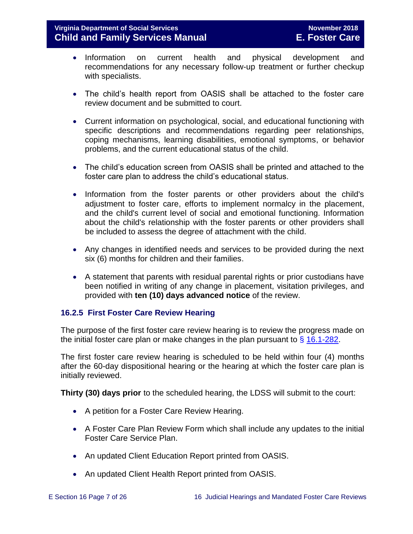- Information on current health and physical development and recommendations for any necessary follow-up treatment or further checkup with specialists.
- The child's health report from OASIS shall be attached to the foster care review document and be submitted to court.
- Current information on psychological, social, and educational functioning with specific descriptions and recommendations regarding peer relationships, coping mechanisms, learning disabilities, emotional symptoms, or behavior problems, and the current educational status of the child.
- The child's education screen from OASIS shall be printed and attached to the foster care plan to address the child's educational status.
- Information from the foster parents or other providers about the child's adjustment to foster care, efforts to implement normalcy in the placement, and the child's current level of social and emotional functioning. Information about the child's relationship with the foster parents or other providers shall be included to assess the degree of attachment with the child.
- Any changes in identified needs and services to be provided during the next six (6) months for children and their families.
- A statement that parents with residual parental rights or prior custodians have been notified in writing of any change in placement, visitation privileges, and provided with **ten (10) days advanced notice** of the review.

## <span id="page-6-0"></span>**16.2.5 First Foster Care Review Hearing**

The purpose of the first foster care review hearing is to review the progress made on the initial foster care plan or make changes in the plan pursuant to  $\frac{6}{9}$  [16.1-282.](http://law.lis.virginia.gov/vacode/title16.1/chapter11/section16.1-282/)

The first foster care review hearing is scheduled to be held within four (4) months after the 60-day dispositional hearing or the hearing at which the foster care plan is initially reviewed.

**Thirty (30) days prior** to the scheduled hearing, the LDSS will submit to the court:

- A petition for a Foster Care Review Hearing.
- A Foster Care Plan Review Form which shall include any updates to the initial Foster Care Service Plan.
- An updated Client Education Report printed from OASIS.
- An updated Client Health Report printed from OASIS.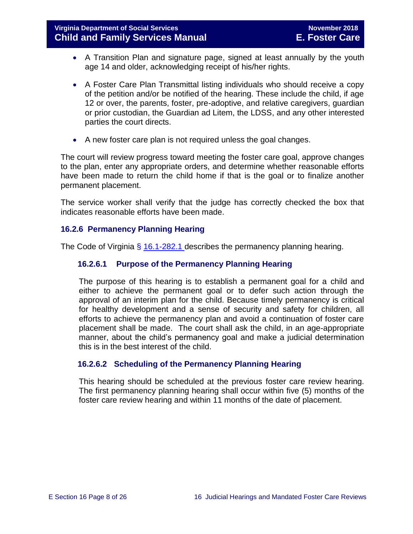- A Transition Plan and signature page, signed at least annually by the youth age 14 and older, acknowledging receipt of his/her rights.
- A Foster Care Plan Transmittal listing individuals who should receive a copy of the petition and/or be notified of the hearing. These include the child, if age 12 or over, the parents, foster, pre-adoptive, and relative caregivers, guardian or prior custodian, the Guardian ad Litem, the LDSS, and any other interested parties the court directs.
- A new foster care plan is not required unless the goal changes.

The court will review progress toward meeting the foster care goal, approve changes to the plan, enter any appropriate orders, and determine whether reasonable efforts have been made to return the child home if that is the goal or to finalize another permanent placement.

The service worker shall verify that the judge has correctly checked the box that indicates reasonable efforts have been made.

## <span id="page-7-0"></span>**16.2.6 Permanency Planning Hearing**

The Code of Virginia  $\frac{6}{9}$  [16.1-282.1](https://law.lis.virginia.gov/vacode/16.1-282.1/) describes the permanency planning hearing.

## **16.2.6.1 Purpose of the Permanency Planning Hearing**

The purpose of this hearing is to establish a permanent goal for a child and either to achieve the permanent goal or to defer such action through the approval of an interim plan for the child. Because timely permanency is critical for healthy development and a sense of security and safety for children, all efforts to achieve the permanency plan and avoid a continuation of foster care placement shall be made. The court shall ask the child, in an age-appropriate manner, about the child's permanency goal and make a judicial determination this is in the best interest of the child.

## **16.2.6.2 Scheduling of the Permanency Planning Hearing**

This hearing should be scheduled at the previous foster care review hearing. The first permanency planning hearing shall occur within five (5) months of the foster care review hearing and within 11 months of the date of placement.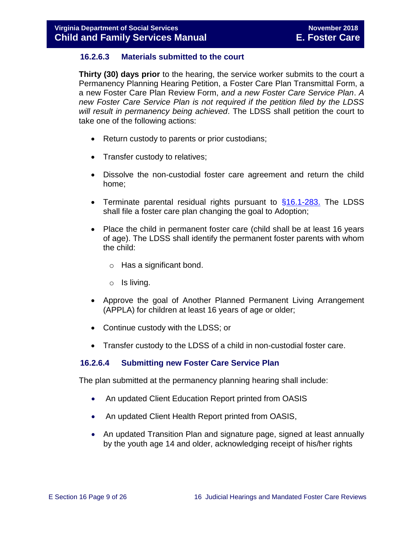## **16.2.6.3 Materials submitted to the court**

**Thirty (30) days prior** to the hearing, the service worker submits to the court a Permanency Planning Hearing Petition, a Foster Care Plan Transmittal Form, a a new Foster Care Plan Review Form, a*nd a new Foster Care Service Plan*. *A new Foster Care Service Plan is not required if the petition filed by the LDSS will result in permanency being achieved*. The LDSS shall petition the court to take one of the following actions:

- Return custody to parents or prior custodians;
- Transfer custody to relatives;
- Dissolve the non-custodial foster care agreement and return the child home;
- Terminate parental residual rights pursuant to  $§16.1-283$ . The LDSS shall file a foster care plan changing the goal to Adoption;
- Place the child in permanent foster care (child shall be at least 16 years of age). The LDSS shall identify the permanent foster parents with whom the child:
	- o Has a significant bond.
	- o Is living.
- Approve the goal of Another Planned Permanent Living Arrangement (APPLA) for children at least 16 years of age or older;
- Continue custody with the LDSS; or
- Transfer custody to the LDSS of a child in non-custodial foster care.

## **16.2.6.4 Submitting new Foster Care Service Plan**

The plan submitted at the permanency planning hearing shall include:

- An updated Client Education Report printed from OASIS
- An updated Client Health Report printed from OASIS,
- An updated Transition Plan and signature page, signed at least annually by the youth age 14 and older, acknowledging receipt of his/her rights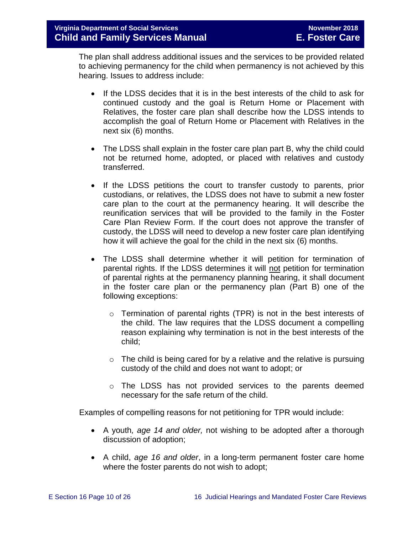The plan shall address additional issues and the services to be provided related to achieving permanency for the child when permanency is not achieved by this hearing. Issues to address include:

- If the LDSS decides that it is in the best interests of the child to ask for continued custody and the goal is Return Home or Placement with Relatives, the foster care plan shall describe how the LDSS intends to accomplish the goal of Return Home or Placement with Relatives in the next six (6) months.
- The LDSS shall explain in the foster care plan part B, why the child could not be returned home, adopted, or placed with relatives and custody transferred.
- If the LDSS petitions the court to transfer custody to parents, prior custodians, or relatives, the LDSS does not have to submit a new foster care plan to the court at the permanency hearing. It will describe the reunification services that will be provided to the family in the Foster Care Plan Review Form. If the court does not approve the transfer of custody, the LDSS will need to develop a new foster care plan identifying how it will achieve the goal for the child in the next six (6) months.
- The LDSS shall determine whether it will petition for termination of parental rights. If the LDSS determines it will not petition for termination of parental rights at the permanency planning hearing, it shall document in the foster care plan or the permanency plan (Part B) one of the following exceptions:
	- $\circ$  Termination of parental rights (TPR) is not in the best interests of the child. The law requires that the LDSS document a compelling reason explaining why termination is not in the best interests of the child;
	- $\circ$  The child is being cared for by a relative and the relative is pursuing custody of the child and does not want to adopt; or
	- o The LDSS has not provided services to the parents deemed necessary for the safe return of the child.

Examples of compelling reasons for not petitioning for TPR would include:

- A youth*, age 14 and older,* not wishing to be adopted after a thorough discussion of adoption;
- A child, *age 16 and older*, in a long-term permanent foster care home where the foster parents do not wish to adopt;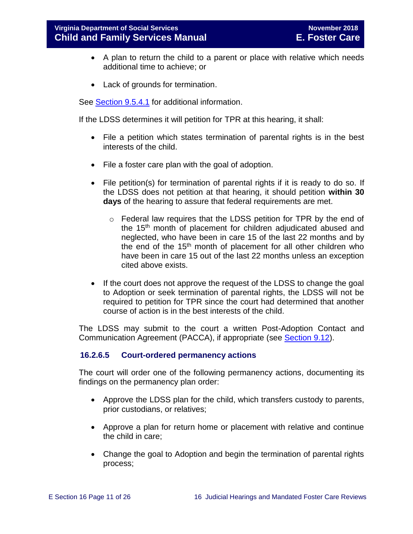- A plan to return the child to a parent or place with relative which needs additional time to achieve; or
- Lack of grounds for termination.

See [Section](file://///Vaultcelerra.co.dss.state.va.us/Workgroup/Family_Services/DFS%20Child%20and%20Family%20Services%20Manual/E.%20Foster%20Care/Foster%20Care%20June%202017/section_9_achieving_permanency_goal_adoption%20draft.docx) 9.5.4.1 for additional information.

If the LDSS determines it will petition for TPR at this hearing, it shall:

- File a petition which states termination of parental rights is in the best interests of the child.
- File a foster care plan with the goal of adoption.
- File petition(s) for termination of parental rights if it is ready to do so. If the LDSS does not petition at that hearing, it should petition **within 30 days** of the hearing to assure that federal requirements are met.
	- o Federal law requires that the LDSS petition for TPR by the end of the 15<sup>th</sup> month of placement for children adjudicated abused and neglected, who have been in care 15 of the last 22 months and by the end of the 15th month of placement for all other children who have been in care 15 out of the last 22 months unless an exception cited above exists.
- If the court does not approve the request of the LDSS to change the goal to Adoption or seek termination of parental rights, the LDSS will not be required to petition for TPR since the court had determined that another course of action is in the best interests of the child.

The LDSS may submit to the court a written Post-Adoption Contact and Communication Agreement (PACCA), if appropriate (see [Section](file://///Vaultcelerra.co.dss.state.va.us/Workgroup/Family_Services/DFS%20Child%20and%20Family%20Services%20Manual/E.%20Foster%20Care/Foster%20Care%20June%202017/section_9_achieving_permanency_goal_adoption%20draft.docx) 9.12).

## **16.2.6.5 Court-ordered permanency actions**

The court will order one of the following permanency actions, documenting its findings on the permanency plan order:

- Approve the LDSS plan for the child, which transfers custody to parents, prior custodians, or relatives;
- Approve a plan for return home or placement with relative and continue the child in care;
- Change the goal to Adoption and begin the termination of parental rights process;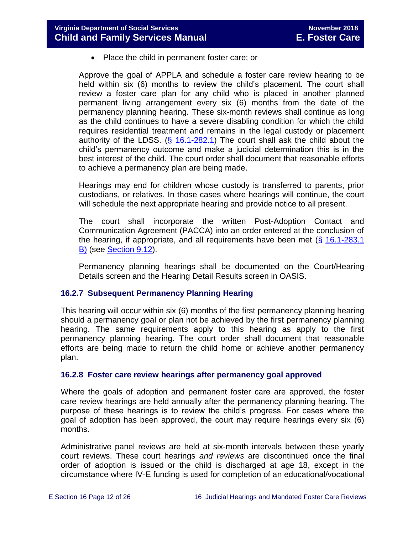• Place the child in permanent foster care; or

Approve the goal of APPLA and schedule a foster care review hearing to be held within six (6) months to review the child's placement. The court shall review a foster care plan for any child who is placed in another planned permanent living arrangement every six (6) months from the date of the permanency planning hearing. These six-month reviews shall continue as long as the child continues to have a severe disabling condition for which the child requires residential treatment and remains in the legal custody or placement authority of the LDSS. (§ [16.1-282.1\)](http://law.lis.virginia.gov/vacode/16.1-282.1/) The court shall ask the child about the child's permanency outcome and make a judicial determination this is in the best interest of the child. The court order shall document that reasonable efforts to achieve a permanency plan are being made.

Hearings may end for children whose custody is transferred to parents, prior custodians, or relatives. In those cases where hearings will continue, the court will schedule the next appropriate hearing and provide notice to all present.

The court shall incorporate the written Post-Adoption Contact and Communication Agreement (PACCA) into an order entered at the conclusion of the hearing, if appropriate, and all requirements have been met  $(\S 16.1-283.1)$ [B\)](http://law.lis.virginia.gov/vacode/16.1-283.1/) (see [Section](file://///Vaultcelerra.co.dss.state.va.us/Workgroup/Family_Services/DFS%20Child%20and%20Family%20Services%20Manual/E.%20Foster%20Care/Foster%20Care%20June%202017/section_9_achieving_permanency_goal_adoption%20draft.docx) 9.12).

Permanency planning hearings shall be documented on the Court/Hearing Details screen and the Hearing Detail Results screen in OASIS.

## <span id="page-11-0"></span>**16.2.7 Subsequent Permanency Planning Hearing**

This hearing will occur within six (6) months of the first permanency planning hearing should a permanency goal or plan not be achieved by the first permanency planning hearing. The same requirements apply to this hearing as apply to the first permanency planning hearing. The court order shall document that reasonable efforts are being made to return the child home or achieve another permanency plan.

## <span id="page-11-1"></span>**16.2.8 Foster care review hearings after permanency goal approved**

Where the goals of adoption and permanent foster care are approved, the foster care review hearings are held annually after the permanency planning hearing. The purpose of these hearings is to review the child's progress. For cases where the goal of adoption has been approved, the court may require hearings every six (6) months.

Administrative panel reviews are held at six-month intervals between these yearly court reviews. These court hearings *and reviews* are discontinued once the final order of adoption is issued or the child is discharged at age 18, except in the circumstance where IV-E funding is used for completion of an educational/vocational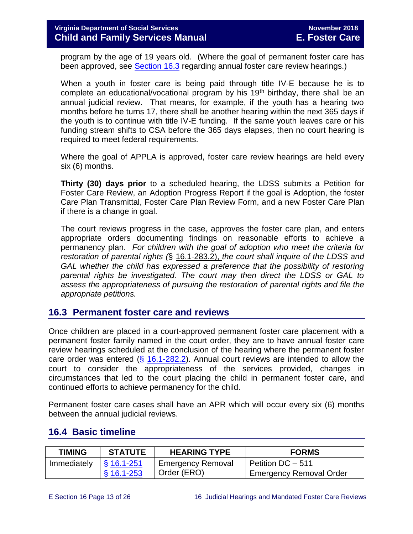program by the age of 19 years old. (Where the goal of permanent foster care has been approved, see [Section 16.3](#page-12-0) regarding annual foster care review hearings.)

When a youth in foster care is being paid through title IV-E because he is to complete an educational/vocational program by his  $19<sup>th</sup>$  birthday, there shall be an annual judicial review. That means, for example, if the youth has a hearing two months before he turns 17, there shall be another hearing within the next 365 days if the youth is to continue with title IV-E funding. If the same youth leaves care or his funding stream shifts to CSA before the 365 days elapses, then no court hearing is required to meet federal requirements.

Where the goal of APPLA is approved, foster care review hearings are held every six (6) months.

**Thirty (30) days prior** to a scheduled hearing, the LDSS submits a Petition for Foster Care Review, an Adoption Progress Report if the goal is Adoption, the foster Care Plan Transmittal, Foster Care Plan Review Form, and a new Foster Care Plan if there is a change in goal.

The court reviews progress in the case, approves the foster care plan, and enters appropriate orders documenting findings on reasonable efforts to achieve a permanency plan. *For children with the goal of adoption who meet the criteria for restoration of parental rights (*§ 16.1-283.2), *the court shall inquire of the LDSS and GAL whether the child has expressed a preference that the possibility of restoring parental rights be investigated. The court may then direct the LDSS or GAL to assess the appropriateness of pursuing the restoration of parental rights and file the appropriate petitions.* 

## <span id="page-12-0"></span>**16.3 Permanent foster care and reviews**

Once children are placed in a court-approved permanent foster care placement with a permanent foster family named in the court order, they are to have annual foster care review hearings scheduled at the conclusion of the hearing where the permanent foster care order was entered  $(\frac{5}{16.1} - \frac{282.2}{16.1})$ . Annual court reviews are intended to allow the court to consider the appropriateness of the services provided, changes in circumstances that led to the court placing the child in permanent foster care, and continued efforts to achieve permanency for the child.

Permanent foster care cases shall have an APR which will occur every six (6) months between the annual judicial reviews.

| <b>TIMING</b> | <b>STATUTE</b>      | <b>HEARING TYPE</b>      | <b>FORMS</b>                   |
|---------------|---------------------|--------------------------|--------------------------------|
| Immediately   | $\sqrt{S}$ 16.1-251 | <b>Emergency Removal</b> | Petition DC - 511              |
|               | $§$ 16.1-253        | Order (ERO)              | <b>Emergency Removal Order</b> |

## <span id="page-12-1"></span>**16.4 Basic timeline**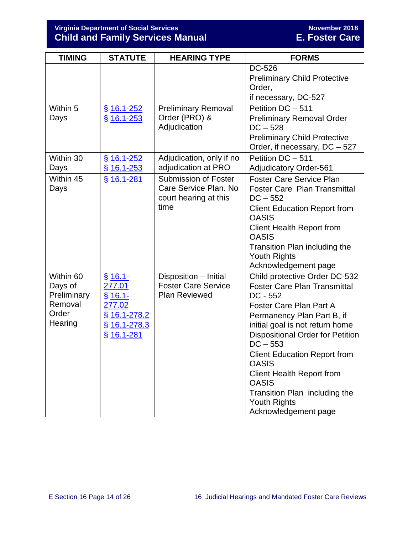| <b>TIMING</b>                                                      | <b>STATUTE</b>                                                                             | <b>HEARING TYPE</b>                                                                   | <b>FORMS</b>                                                                                                                                                                                                                                                                                                                                                                                                                              |
|--------------------------------------------------------------------|--------------------------------------------------------------------------------------------|---------------------------------------------------------------------------------------|-------------------------------------------------------------------------------------------------------------------------------------------------------------------------------------------------------------------------------------------------------------------------------------------------------------------------------------------------------------------------------------------------------------------------------------------|
|                                                                    |                                                                                            |                                                                                       | DC-526<br><b>Preliminary Child Protective</b><br>Order,<br>if necessary, DC-527                                                                                                                                                                                                                                                                                                                                                           |
| Within 5<br>Days                                                   | $§$ 16.1-252<br>$$16.1 - 253$                                                              | <b>Preliminary Removal</b><br>Order (PRO) &<br>Adjudication                           | Petition DC - 511<br><b>Preliminary Removal Order</b><br>$DC - 528$<br><b>Preliminary Child Protective</b><br>Order, if necessary, DC - 527                                                                                                                                                                                                                                                                                               |
| Within 30<br>Days                                                  | $$16.1 - 252$<br>$§$ 16.1-253                                                              | Adjudication, only if no<br>adjudication at PRO                                       | Petition DC - 511<br><b>Adjudicatory Order-561</b>                                                                                                                                                                                                                                                                                                                                                                                        |
| Within 45<br>Days                                                  | § 16.1-281                                                                                 | <b>Submission of Foster</b><br>Care Service Plan. No<br>court hearing at this<br>time | <b>Foster Care Service Plan</b><br><b>Foster Care Plan Transmittal</b><br>$DC - 552$<br><b>Client Education Report from</b><br><b>OASIS</b><br><b>Client Health Report from</b><br><b>OASIS</b><br>Transition Plan including the<br><b>Youth Rights</b><br>Acknowledgement page                                                                                                                                                           |
| Within 60<br>Days of<br>Preliminary<br>Removal<br>Order<br>Hearing | $§ 16.1 -$<br>277.01<br>$$16.1-$<br>277.02<br>$§$ 16.1-278.2<br>§ 16.1-278.3<br>§ 16.1-281 | Disposition - Initial<br><b>Foster Care Service</b><br><b>Plan Reviewed</b>           | Child protective Order DC-532<br><b>Foster Care Plan Transmittal</b><br>$DC - 552$<br><b>Foster Care Plan Part A</b><br>Permanency Plan Part B, if<br>initial goal is not return home<br><b>Dispositional Order for Petition</b><br>$DC - 553$<br><b>Client Education Report from</b><br><b>OASIS</b><br><b>Client Health Report from</b><br><b>OASIS</b><br>Transition Plan including the<br><b>Youth Rights</b><br>Acknowledgement page |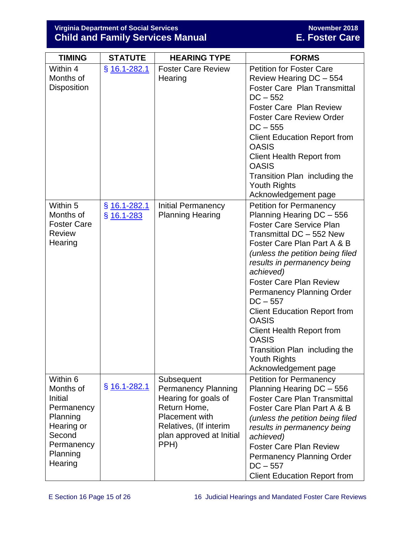| <b>TIMING</b>                                                                                                           | <b>STATUTE</b>                 | <b>HEARING TYPE</b>                                                                                                                                                     | <b>FORMS</b>                                                                                                                                                                                                                                                                                                                                                                                                                                                                                                             |
|-------------------------------------------------------------------------------------------------------------------------|--------------------------------|-------------------------------------------------------------------------------------------------------------------------------------------------------------------------|--------------------------------------------------------------------------------------------------------------------------------------------------------------------------------------------------------------------------------------------------------------------------------------------------------------------------------------------------------------------------------------------------------------------------------------------------------------------------------------------------------------------------|
| Within 4<br>Months of<br><b>Disposition</b>                                                                             | $§$ 16.1-282.1                 | <b>Foster Care Review</b><br>Hearing                                                                                                                                    | <b>Petition for Foster Care</b><br>Review Hearing DC - 554<br><b>Foster Care Plan Transmittal</b><br>$DC - 552$<br><b>Foster Care Plan Review</b><br><b>Foster Care Review Order</b><br>$DC - 555$<br><b>Client Education Report from</b><br><b>OASIS</b><br><b>Client Health Report from</b><br><b>OASIS</b><br>Transition Plan including the<br><b>Youth Rights</b><br>Acknowledgement page                                                                                                                            |
| Within 5<br>Months of<br><b>Foster Care</b><br><b>Review</b><br>Hearing                                                 | $§$ 16.1-282.1<br>$§$ 16.1-283 | <b>Initial Permanency</b><br><b>Planning Hearing</b>                                                                                                                    | <b>Petition for Permanency</b><br>Planning Hearing DC - 556<br><b>Foster Care Service Plan</b><br>Transmittal DC - 552 New<br>Foster Care Plan Part A & B<br>(unless the petition being filed<br>results in permanency being<br>achieved)<br><b>Foster Care Plan Review</b><br><b>Permanency Planning Order</b><br>$DC - 557$<br><b>Client Education Report from</b><br><b>OASIS</b><br><b>Client Health Report from</b><br><b>OASIS</b><br>Transition Plan including the<br><b>Youth Rights</b><br>Acknowledgement page |
| Within 6<br>Months of<br>Initial<br>Permanency<br>Planning<br>Hearing or<br>Second<br>Permanency<br>Planning<br>Hearing | $§$ 16.1-282.1                 | Subsequent<br><b>Permanency Planning</b><br>Hearing for goals of<br>Return Home,<br><b>Placement with</b><br>Relatives, (If interim<br>plan approved at Initial<br>PPH) | <b>Petition for Permanency</b><br>Planning Hearing DC - 556<br><b>Foster Care Plan Transmittal</b><br>Foster Care Plan Part A & B<br>(unless the petition being filed<br>results in permanency being<br>achieved)<br><b>Foster Care Plan Review</b><br><b>Permanency Planning Order</b><br>$DC - 557$<br><b>Client Education Report from</b>                                                                                                                                                                             |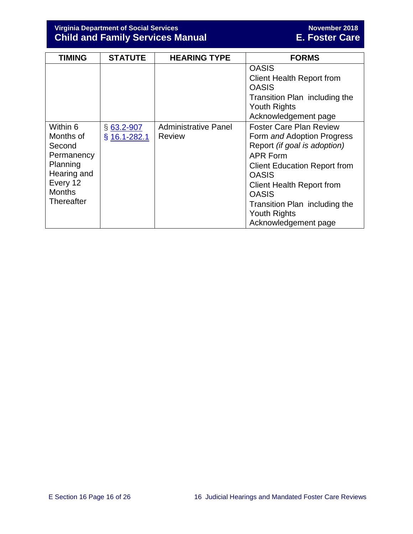| <b>TIMING</b>                                                                                                              | <b>STATUTE</b>                 | <b>HEARING TYPE</b>                          | <b>FORMS</b>                                                                                                                                                                                                                                                                                               |
|----------------------------------------------------------------------------------------------------------------------------|--------------------------------|----------------------------------------------|------------------------------------------------------------------------------------------------------------------------------------------------------------------------------------------------------------------------------------------------------------------------------------------------------------|
|                                                                                                                            |                                |                                              | <b>OASIS</b><br><b>Client Health Report from</b><br><b>OASIS</b><br>Transition Plan including the<br><b>Youth Rights</b><br>Acknowledgement page                                                                                                                                                           |
| Within 6<br>Months of<br>Second<br>Permanency<br>Planning<br>Hearing and<br>Every 12<br><b>Months</b><br><b>Thereafter</b> | $§$ 63.2-907<br>$§$ 16.1-282.1 | <b>Administrative Panel</b><br><b>Review</b> | <b>Foster Care Plan Review</b><br>Form and Adoption Progress<br>Report (if goal is adoption)<br><b>APR Form</b><br><b>Client Education Report from</b><br><b>OASIS</b><br><b>Client Health Report from</b><br><b>OASIS</b><br>Transition Plan including the<br><b>Youth Rights</b><br>Acknowledgement page |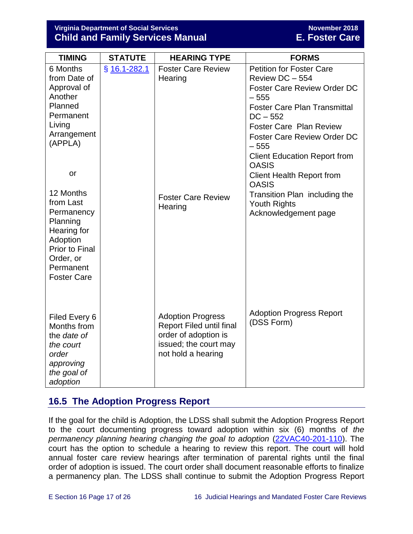| <b>TIMING</b>                                                                                                                           | <b>STATUTE</b>  | <b>HEARING TYPE</b>                                                                                                                | <b>FORMS</b>                                                                                                                                                                                                                                                                                                                                                                          |
|-----------------------------------------------------------------------------------------------------------------------------------------|-----------------|------------------------------------------------------------------------------------------------------------------------------------|---------------------------------------------------------------------------------------------------------------------------------------------------------------------------------------------------------------------------------------------------------------------------------------------------------------------------------------------------------------------------------------|
| 6 Months<br>from Date of<br>Approval of<br>Another<br>Planned<br>Permanent<br>Living<br>Arrangement<br>(APPLA)<br>or<br>12 Months       | $$16.1 - 282.1$ | <b>Foster Care Review</b><br>Hearing<br><b>Foster Care Review</b>                                                                  | <b>Petition for Foster Care</b><br>Review DC - 554<br><b>Foster Care Review Order DC</b><br>$-555$<br><b>Foster Care Plan Transmittal</b><br>$DC - 552$<br><b>Foster Care Plan Review</b><br><b>Foster Care Review Order DC</b><br>$-555$<br><b>Client Education Report from</b><br><b>OASIS</b><br><b>Client Health Report from</b><br><b>OASIS</b><br>Transition Plan including the |
| from Last<br>Permanency<br>Planning<br>Hearing for<br>Adoption<br><b>Prior to Final</b><br>Order, or<br>Permanent<br><b>Foster Care</b> |                 | Hearing                                                                                                                            | <b>Youth Rights</b><br>Acknowledgement page                                                                                                                                                                                                                                                                                                                                           |
| Filed Every 6<br>Months from<br>the date of<br>the court<br>order<br>approving<br>the goal of<br>adoption                               |                 | <b>Adoption Progress</b><br><b>Report Filed until final</b><br>order of adoption is<br>issued; the court may<br>not hold a hearing | <b>Adoption Progress Report</b><br>(DSS Form)                                                                                                                                                                                                                                                                                                                                         |

## <span id="page-16-0"></span>**16.5 The Adoption Progress Report**

If the goal for the child is Adoption, the LDSS shall submit the Adoption Progress Report to the court documenting progress toward adoption within six (6) months of *the permanency planning hearing changing the goal to adoption* [\(22VAC40-201-110\)](https://law.lis.virginia.gov/admincode/title22/agency40/chapter201/section110/). The court has the option to schedule a hearing to review this report. The court will hold annual foster care review hearings after termination of parental rights until the final order of adoption is issued. The court order shall document reasonable efforts to finalize a permanency plan. The LDSS shall continue to submit the Adoption Progress Report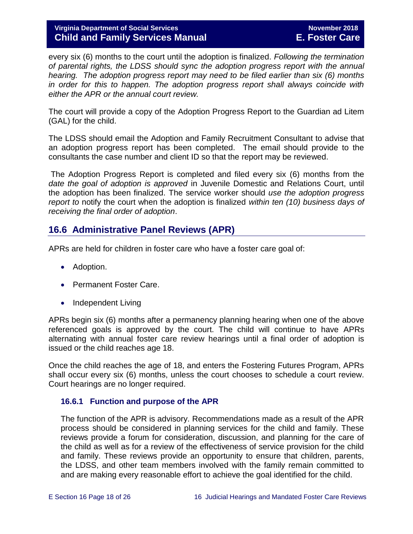every six (6) months to the court until the adoption is finalized. *Following the termination of parental rights, the LDSS should sync the adoption progress report with the annual hearing. The adoption progress report may need to be filed earlier than six (6) months*  in order for this to happen. The adoption progress report shall always coincide with *either the APR or the annual court review.*

The court will provide a copy of the Adoption Progress Report to the Guardian ad Litem (GAL) for the child.

The LDSS should email the Adoption and Family Recruitment Consultant to advise that an adoption progress report has been completed. The email should provide to the consultants the case number and client ID so that the report may be reviewed.

The Adoption Progress Report is completed and filed every six (6) months from the *date the goal of adoption is approved* in Juvenile Domestic and Relations Court, until the adoption has been finalized. The service worker should *use the adoption progress report to* notify the court when the adoption is finalized *within ten (10) business days of receiving the final order of adoption*.

## <span id="page-17-0"></span>**16.6 Administrative Panel Reviews (APR)**

APRs are held for children in foster care who have a foster care goal of:

- Adoption.
- Permanent Foster Care.
- Independent Living

APRs begin six (6) months after a permanency planning hearing when one of the above referenced goals is approved by the court. The child will continue to have APRs alternating with annual foster care review hearings until a final order of adoption is issued or the child reaches age 18.

Once the child reaches the age of 18, and enters the Fostering Futures Program, APRs shall occur every six (6) months, unless the court chooses to schedule a court review. Court hearings are no longer required.

## <span id="page-17-1"></span>**16.6.1 Function and purpose of the APR**

The function of the APR is advisory. Recommendations made as a result of the APR process should be considered in planning services for the child and family. These reviews provide a forum for consideration, discussion, and planning for the care of the child as well as for a review of the effectiveness of service provision for the child and family. These reviews provide an opportunity to ensure that children, parents, the LDSS, and other team members involved with the family remain committed to and are making every reasonable effort to achieve the goal identified for the child.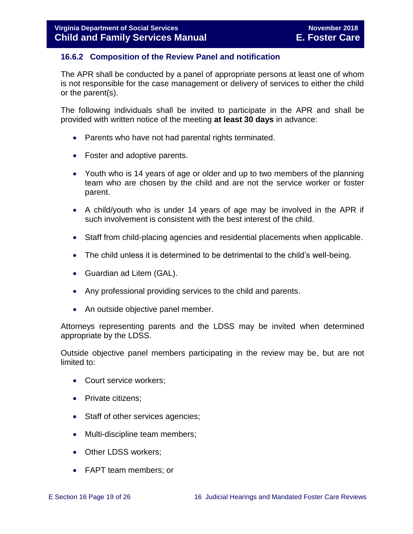## <span id="page-18-0"></span>**16.6.2 Composition of the Review Panel and notification**

The APR shall be conducted by a panel of appropriate persons at least one of whom is not responsible for the case management or delivery of services to either the child or the parent(s).

The following individuals shall be invited to participate in the APR and shall be provided with written notice of the meeting **at least 30 days** in advance:

- Parents who have not had parental rights terminated.
- Foster and adoptive parents.
- Youth who is 14 years of age or older and up to two members of the planning team who are chosen by the child and are not the service worker or foster parent.
- A child/youth who is under 14 years of age may be involved in the APR if such involvement is consistent with the best interest of the child.
- Staff from child-placing agencies and residential placements when applicable.
- The child unless it is determined to be detrimental to the child's well-being.
- Guardian ad Litem (GAL).
- Any professional providing services to the child and parents.
- An outside objective panel member.

Attorneys representing parents and the LDSS may be invited when determined appropriate by the LDSS.

Outside objective panel members participating in the review may be, but are not limited to:

- Court service workers;
- Private citizens:
- Staff of other services agencies;
- Multi-discipline team members;
- Other LDSS workers;
- FAPT team members; or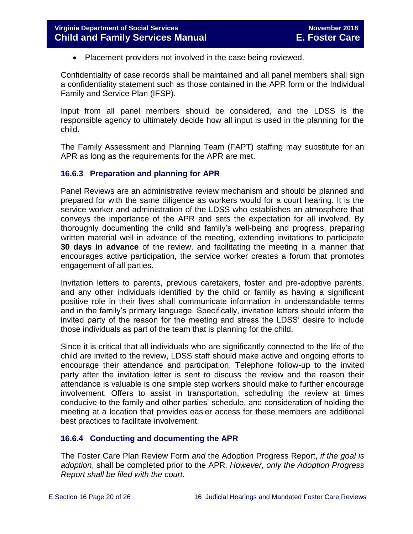• Placement providers not involved in the case being reviewed.

Confidentiality of case records shall be maintained and all panel members shall sign a confidentiality statement such as those contained in the APR form or the Individual Family and Service Plan (IFSP).

Input from all panel members should be considered, and the LDSS is the responsible agency to ultimately decide how all input is used in the planning for the child**.** 

The Family Assessment and Planning Team (FAPT) staffing may substitute for an APR as long as the requirements for the APR are met.

## <span id="page-19-0"></span>**16.6.3 Preparation and planning for APR**

Panel Reviews are an administrative review mechanism and should be planned and prepared for with the same diligence as workers would for a court hearing. It is the service worker and administration of the LDSS who establishes an atmosphere that conveys the importance of the APR and sets the expectation for all involved. By thoroughly documenting the child and family's well-being and progress, preparing written material well in advance of the meeting, extending invitations to participate **30 days in advance** of the review, and facilitating the meeting in a manner that encourages active participation, the service worker creates a forum that promotes engagement of all parties.

Invitation letters to parents, previous caretakers, foster and pre-adoptive parents, and any other individuals identified by the child or family as having a significant positive role in their lives shall communicate information in understandable terms and in the family's primary language. Specifically, invitation letters should inform the invited party of the reason for the meeting and stress the LDSS' desire to include those individuals as part of the team that is planning for the child.

Since it is critical that all individuals who are significantly connected to the life of the child are invited to the review, LDSS staff should make active and ongoing efforts to encourage their attendance and participation. Telephone follow-up to the invited party after the invitation letter is sent to discuss the review and the reason their attendance is valuable is one simple step workers should make to further encourage involvement. Offers to assist in transportation, scheduling the review at times conducive to the family and other parties' schedule, and consideration of holding the meeting at a location that provides easier access for these members are additional best practices to facilitate involvement.

## <span id="page-19-1"></span>**16.6.4 Conducting and documenting the APR**

The Foster Care Plan Review Form *and* the Adoption Progress Report, *if the goal is adoption*, shall be completed prior to the APR. *However, only the Adoption Progress Report shall be filed with the court.*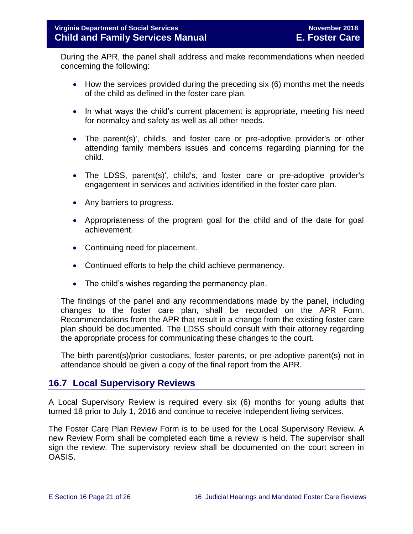During the APR, the panel shall address and make recommendations when needed concerning the following:

- How the services provided during the preceding six (6) months met the needs of the child as defined in the foster care plan.
- In what ways the child's current placement is appropriate, meeting his need for normalcy and safety as well as all other needs.
- The parent(s)', child's, and foster care or pre-adoptive provider's or other attending family members issues and concerns regarding planning for the child.
- The LDSS, parent(s)', child's, and foster care or pre-adoptive provider's engagement in services and activities identified in the foster care plan.
- Any barriers to progress.
- Appropriateness of the program goal for the child and of the date for goal achievement.
- Continuing need for placement.
- Continued efforts to help the child achieve permanency.
- The child's wishes regarding the permanency plan.

The findings of the panel and any recommendations made by the panel, including changes to the foster care plan, shall be recorded on the APR Form. Recommendations from the APR that result in a change from the existing foster care plan should be documented. The LDSS should consult with their attorney regarding the appropriate process for communicating these changes to the court.

The birth parent(s)/prior custodians, foster parents, or pre-adoptive parent(s) not in attendance should be given a copy of the final report from the APR.

## <span id="page-20-0"></span>**16.7 Local Supervisory Reviews**

A Local Supervisory Review is required every six (6) months for young adults that turned 18 prior to July 1, 2016 and continue to receive independent living services.

The Foster Care Plan Review Form is to be used for the Local Supervisory Review. A new Review Form shall be completed each time a review is held. The supervisor shall sign the review. The supervisory review shall be documented on the court screen in OASIS.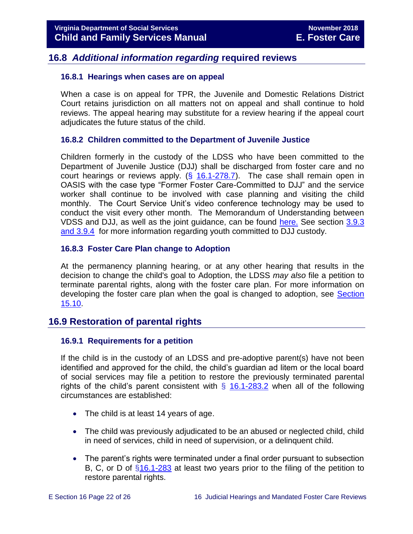## <span id="page-21-0"></span>**16.8** *Additional information regarding* **required reviews**

#### <span id="page-21-1"></span>**16.8.1 Hearings when cases are on appeal**

When a case is on appeal for TPR, the Juvenile and Domestic Relations District Court retains jurisdiction on all matters not on appeal and shall continue to hold reviews. The appeal hearing may substitute for a review hearing if the appeal court adjudicates the future status of the child.

## <span id="page-21-2"></span>**16.8.2 Children committed to the Department of Juvenile Justice**

Children formerly in the custody of the LDSS who have been committed to the Department of Juvenile Justice (DJJ) shall be discharged from foster care and no court hearings or reviews apply.  $(\frac{6}{16.1} - 278.7)$ . The case shall remain open in OASIS with the case type "Former Foster Care-Committed to DJJ" and the service worker shall continue to be involved with case planning and visiting the child monthly. The Court Service Unit's video conference technology may be used to conduct the visit every other month. The Memorandum of Understanding between VDSS and DJJ, as well as the joint guidance, can be found [here.](http://spark.dss.virginia.gov/divisions/dfs/fc/guidance.cgi) See section [3.9.3](file://///Vaultcelerra.co.dss.state.va.us/Workgroup/Family_Services/DFS%20Child%20and%20Family%20Services%20Manual/E.%20Foster%20Care/Foster%20Care%20June%202017/section_3_entering_foster_care%20draft.2.docx)  [and 3.9.4](file://///Vaultcelerra.co.dss.state.va.us/Workgroup/Family_Services/DFS%20Child%20and%20Family%20Services%20Manual/E.%20Foster%20Care/Foster%20Care%20June%202017/section_3_entering_foster_care%20draft.2.docx) for more information regarding youth committed to DJJ custody.

## <span id="page-21-3"></span>**16.8.3 Foster Care Plan change to Adoption**

At the permanency planning hearing, or at any other hearing that results in the decision to change the child's goal to Adoption, the LDSS *may also* file a petition to terminate parental rights, along with the foster care plan. For more information on developing the foster care plan when the goal is changed to adoption, see [Section](file://///Vaultcelerra.co.dss.state.va.us/Workgroup/Family_Services/DFS%20Child%20and%20Family%20Services%20Manual/E.%20Foster%20Care/Foster%20Care%20June%202017/section_15_developing_service_plan.draft.docx)  [15.10.](file://///Vaultcelerra.co.dss.state.va.us/Workgroup/Family_Services/DFS%20Child%20and%20Family%20Services%20Manual/E.%20Foster%20Care/Foster%20Care%20June%202017/section_15_developing_service_plan.draft.docx)

## <span id="page-21-4"></span>**16.9 Restoration of parental rights**

## <span id="page-21-5"></span>**16.9.1 Requirements for a petition**

If the child is in the custody of an LDSS and pre-adoptive parent(s) have not been identified and approved for the child, the child's guardian ad litem or the local board of social services may file a petition to restore the previously terminated parental rights of the child's parent consistent with  $\S$  [16.1-283.2](http://law.lis.virginia.gov/vacode/16.1-283.2/) when all of the following circumstances are established:

- The child is at least 14 years of age.
- The child was previously adjudicated to be an abused or neglected child, child in need of services, child in need of supervision, or a delinquent child.
- The parent's rights were terminated under a final order pursuant to subsection B, C, or D of [§16.1-283](http://law.lis.virginia.gov/vacode/16.1-283/) at least two years prior to the filing of the petition to restore parental rights.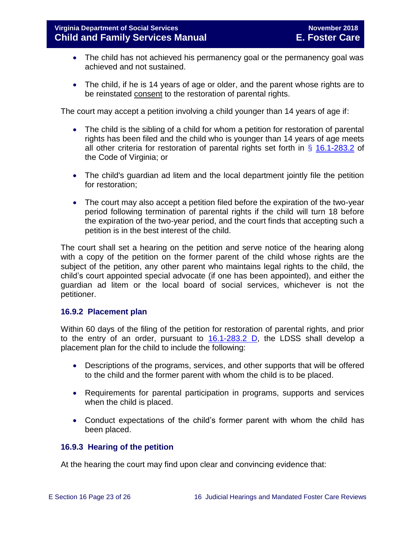- The child has not achieved his permanency goal or the permanency goal was achieved and not sustained.
- The child, if he is 14 years of age or older, and the parent whose rights are to be reinstated consent to the restoration of parental rights.

The court may accept a petition involving a child younger than 14 years of age if:

- The child is the sibling of a child for whom a petition for restoration of parental rights has been filed and the child who is younger than 14 years of age meets all other criteria for restoration of parental rights set forth in  $\S$  [16.1-283.2](http://law.lis.virginia.gov/vacode/title16.1/chapter11/section16.1-283.2/) of the Code of Virginia; or
- The child's guardian ad litem and the local department jointly file the petition for restoration;
- The court may also accept a petition filed before the expiration of the two-year period following termination of parental rights if the child will turn 18 before the expiration of the two-year period, and the court finds that accepting such a petition is in the best interest of the child.

The court shall set a hearing on the petition and serve notice of the hearing along with a copy of the petition on the former parent of the child whose rights are the subject of the petition, any other parent who maintains legal rights to the child, the child's court appointed special advocate (if one has been appointed), and either the guardian ad litem or the local board of social services, whichever is not the petitioner.

## <span id="page-22-0"></span>**16.9.2 Placement plan**

Within 60 days of the filing of the petition for restoration of parental rights, and prior to the entry of an order, pursuant to  $16.1-283.2$  D, the LDSS shall develop a placement plan for the child to include the following:

- Descriptions of the programs, services, and other supports that will be offered to the child and the former parent with whom the child is to be placed.
- Requirements for parental participation in programs, supports and services when the child is placed.
- Conduct expectations of the child's former parent with whom the child has been placed.

## <span id="page-22-1"></span>**16.9.3 Hearing of the petition**

At the hearing the court may find upon clear and convincing evidence that: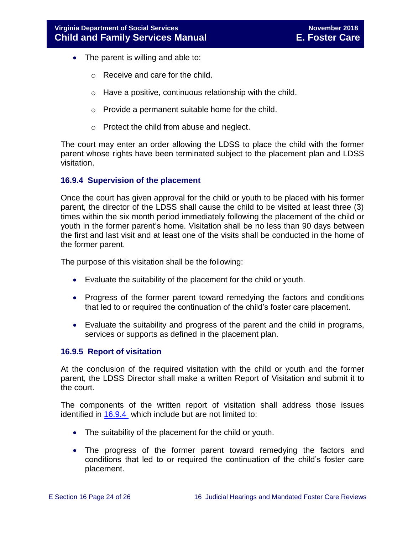- The parent is willing and able to:
	- o Receive and care for the child.
	- o Have a positive, continuous relationship with the child.
	- o Provide a permanent suitable home for the child.
	- o Protect the child from abuse and neglect.

The court may enter an order allowing the LDSS to place the child with the former parent whose rights have been terminated subject to the placement plan and LDSS visitation.

## <span id="page-23-0"></span>**16.9.4 Supervision of the placement**

Once the court has given approval for the child or youth to be placed with his former parent, the director of the LDSS shall cause the child to be visited at least three (3) times within the six month period immediately following the placement of the child or youth in the former parent's home. Visitation shall be no less than 90 days between the first and last visit and at least one of the visits shall be conducted in the home of the former parent.

The purpose of this visitation shall be the following:

- Evaluate the suitability of the placement for the child or youth.
- Progress of the former parent toward remedying the factors and conditions that led to or required the continuation of the child's foster care placement.
- Evaluate the suitability and progress of the parent and the child in programs, services or supports as defined in the placement plan.

## <span id="page-23-1"></span>**16.9.5 Report of visitation**

At the conclusion of the required visitation with the child or youth and the former parent, the LDSS Director shall make a written Report of Visitation and submit it to the court.

The components of the written report of visitation shall address those issues identified in [16.9.4](#page-23-0) which include but are not limited to:

- The suitability of the placement for the child or youth.
- The progress of the former parent toward remedying the factors and conditions that led to or required the continuation of the child's foster care placement.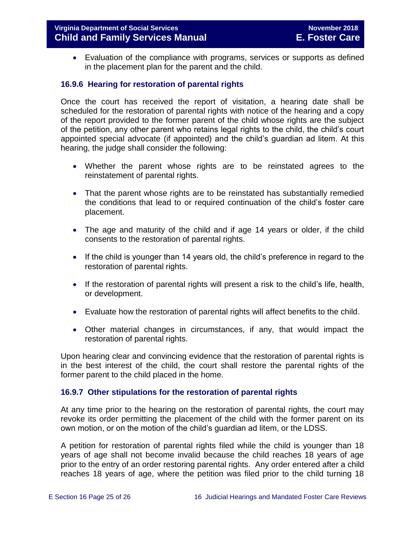Evaluation of the compliance with programs, services or supports as defined in the placement plan for the parent and the child.

## <span id="page-24-0"></span>**16.9.6 Hearing for restoration of parental rights**

Once the court has received the report of visitation, a hearing date shall be scheduled for the restoration of parental rights with notice of the hearing and a copy of the report provided to the former parent of the child whose rights are the subject of the petition, any other parent who retains legal rights to the child, the child's court appointed special advocate (if appointed) and the child's guardian ad litem. At this hearing, the judge shall consider the following:

- Whether the parent whose rights are to be reinstated agrees to the reinstatement of parental rights.
- That the parent whose rights are to be reinstated has substantially remedied the conditions that lead to or required continuation of the child's foster care placement.
- The age and maturity of the child and if age 14 years or older, if the child consents to the restoration of parental rights.
- If the child is younger than 14 years old, the child's preference in regard to the restoration of parental rights.
- If the restoration of parental rights will present a risk to the child's life, health, or development.
- Evaluate how the restoration of parental rights will affect benefits to the child.
- Other material changes in circumstances, if any, that would impact the restoration of parental rights.

Upon hearing clear and convincing evidence that the restoration of parental rights is in the best interest of the child, the court shall restore the parental rights of the former parent to the child placed in the home.

## <span id="page-24-1"></span>**16.9.7 Other stipulations for the restoration of parental rights**

At any time prior to the hearing on the restoration of parental rights, the court may revoke its order permitting the placement of the child with the former parent on its own motion, or on the motion of the child's guardian ad litem, or the LDSS.

A petition for restoration of parental rights filed while the child is younger than 18 years of age shall not become invalid because the child reaches 18 years of age prior to the entry of an order restoring parental rights. Any order entered after a child reaches 18 years of age, where the petition was filed prior to the child turning 18